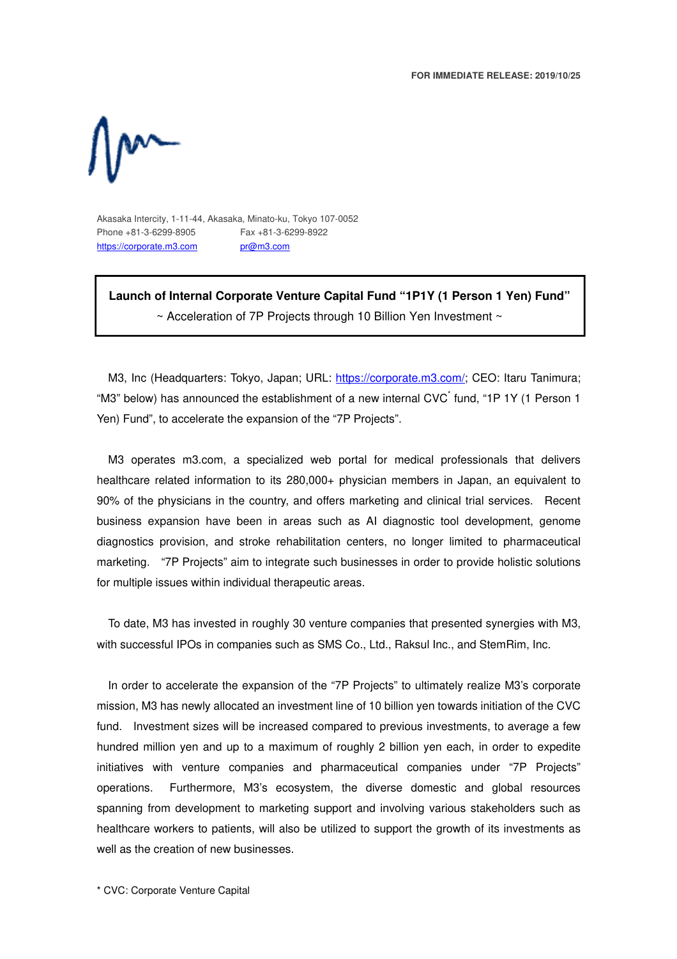**FOR IMMEDIATE RELEASE: 2019/10/25** 



Akasaka Intercity, 1-11-44, Akasaka, Minato-ku, Tokyo 107-0052 Phone +81-3-6299-8905 Fax +81-3-6299-8922 https://corporate.m3.com pr@m3.com

**Launch of Internal Corporate Venture Capital Fund "1P1Y (1 Person 1 Yen) Fund"** 

 $\sim$  Acceleration of 7P Projects through 10 Billion Yen Investment  $\sim$ 

M3, Inc (Headquarters: Tokyo, Japan; URL: https://corporate.m3.com/; CEO: Itaru Tanimura; "M3" below) has announced the establishment of a new internal CVC<sup>\*</sup> fund, "1P 1Y (1 Person 1 Yen) Fund", to accelerate the expansion of the "7P Projects".

M3 operates m3.com, a specialized web portal for medical professionals that delivers healthcare related information to its 280,000+ physician members in Japan, an equivalent to 90% of the physicians in the country, and offers marketing and clinical trial services. Recent business expansion have been in areas such as AI diagnostic tool development, genome diagnostics provision, and stroke rehabilitation centers, no longer limited to pharmaceutical marketing. "7P Projects" aim to integrate such businesses in order to provide holistic solutions for multiple issues within individual therapeutic areas.

To date, M3 has invested in roughly 30 venture companies that presented synergies with M3, with successful IPOs in companies such as SMS Co., Ltd., Raksul Inc., and StemRim, Inc.

In order to accelerate the expansion of the "7P Projects" to ultimately realize M3's corporate mission, M3 has newly allocated an investment line of 10 billion yen towards initiation of the CVC fund. Investment sizes will be increased compared to previous investments, to average a few hundred million yen and up to a maximum of roughly 2 billion yen each, in order to expedite initiatives with venture companies and pharmaceutical companies under "7P Projects" operations. Furthermore, M3's ecosystem, the diverse domestic and global resources spanning from development to marketing support and involving various stakeholders such as healthcare workers to patients, will also be utilized to support the growth of its investments as well as the creation of new businesses.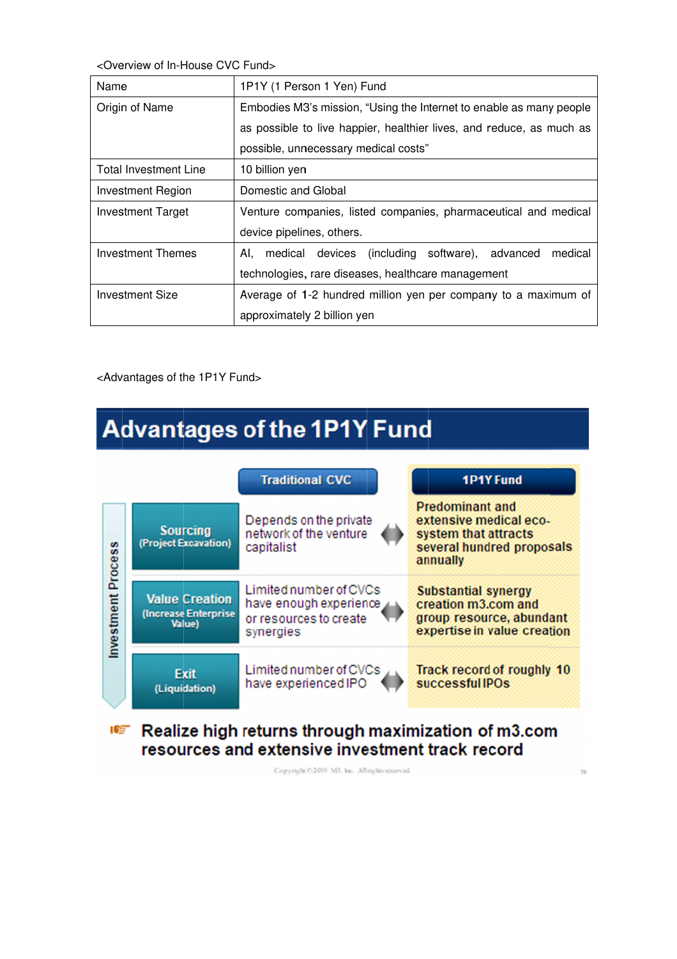<Overview of In <Overview of In-House CVC Fund>

| <overview cvc="" fund="" in-house="" of=""></overview> |                                                                      |
|--------------------------------------------------------|----------------------------------------------------------------------|
| Name                                                   | 1P1Y (1 Person 1 Yen) Fund                                           |
| Origin of Name                                         | Embodies M3's mission, "Using the Internet to enable as many people  |
|                                                        | as possible to live happier, healthier lives, and reduce, as much as |
|                                                        | possible, unnecessary medical costs"                                 |
| <b>Total Investment Line</b>                           | 10 billion yen                                                       |
| <b>Investment Region</b>                               | Domestic and Global                                                  |
| Investment Target                                      | Venture companies, listed companies, pharmaceutical and medical      |
|                                                        | device pipelines, others.                                            |
| Investment Themes                                      | medical devices (including software), advanced<br>medical<br>AI.     |
|                                                        | technologies, rare diseases, healthcare management                   |
| <b>Investment Size</b>                                 | Average of 1-2 hundred million yen per company to a maximum of       |
|                                                        | approximately 2 billion yen                                          |
|                                                        |                                                                      |
|                                                        |                                                                      |
| <advantages 1p1y="" fund="" of="" the=""></advantages> |                                                                      |

<Advantages of the 1P1Y Fund>

## **Advantages of the 1P1Y Fund**



## Realize high returns through maximization of m3.com **I** resources and extensive investment track record

Copyright @2019 M3, Inc. All rights reserved.